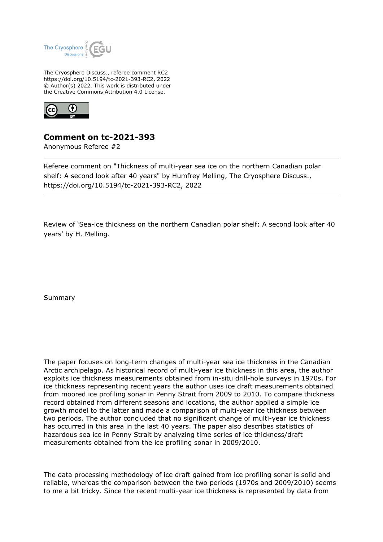

The Cryosphere Discuss., referee comment RC2 https://doi.org/10.5194/tc-2021-393-RC2, 2022 © Author(s) 2022. This work is distributed under the Creative Commons Attribution 4.0 License.



## **Comment on tc-2021-393**

Anonymous Referee #2

Referee comment on "Thickness of multi-year sea ice on the northern Canadian polar shelf: A second look after 40 years" by Humfrey Melling, The Cryosphere Discuss., https://doi.org/10.5194/tc-2021-393-RC2, 2022

Review of 'Sea-ice thickness on the northern Canadian polar shelf: A second look after 40 years' by H. Melling.

Summary

The paper focuses on long-term changes of multi-year sea ice thickness in the Canadian Arctic archipelago. As historical record of multi-year ice thickness in this area, the author exploits ice thickness measurements obtained from in-situ drill-hole surveys in 1970s. For ice thickness representing recent years the author uses ice draft measurements obtained from moored ice profiling sonar in Penny Strait from 2009 to 2010. To compare thickness record obtained from different seasons and locations, the author applied a simple ice growth model to the latter and made a comparison of multi-year ice thickness between two periods. The author concluded that no significant change of multi-year ice thickness has occurred in this area in the last 40 years. The paper also describes statistics of hazardous sea ice in Penny Strait by analyzing time series of ice thickness/draft measurements obtained from the ice profiling sonar in 2009/2010.

The data processing methodology of ice draft gained from ice profiling sonar is solid and reliable, whereas the comparison between the two periods (1970s and 2009/2010) seems to me a bit tricky. Since the recent multi-year ice thickness is represented by data from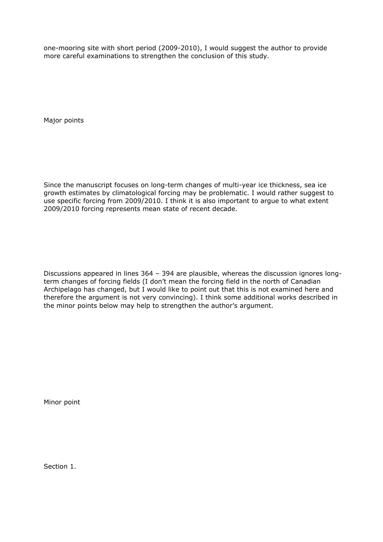one-mooring site with short period (2009-2010), I would suggest the author to provide more careful examinations to strengthen the conclusion of this study.

Major points

Since the manuscript focuses on long-term changes of multi-year ice thickness, sea ice growth estimates by climatological forcing may be problematic. I would rather suggest to use specific forcing from 2009/2010. I think it is also important to argue to what extent 2009/2010 forcing represents mean state of recent decade.

Discussions appeared in lines 364 – 394 are plausible, whereas the discussion ignores longterm changes of forcing fields (I don't mean the forcing field in the north of Canadian Archipelago has changed, but I would like to point out that this is not examined here and therefore the argument is not very convincing). I think some additional works described in the minor points below may help to strengthen the author's argument.

Minor point

Section 1.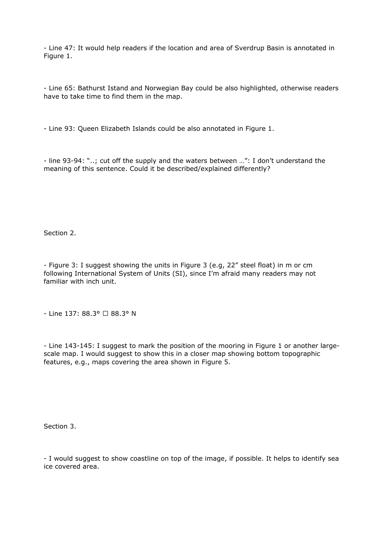- Line 47: It would help readers if the location and area of Sverdrup Basin is annotated in Figure 1.

- Line 65: Bathurst Istand and Norwegian Bay could be also highlighted, otherwise readers have to take time to find them in the map.

- Line 93: Queen Elizabeth Islands could be also annotated in Figure 1.

- line 93-94: "..; cut off the supply and the waters between …": I don't understand the meaning of this sentence. Could it be described/explained differently?

Section 2.

- Figure 3: I suggest showing the units in Figure 3 (e.g, 22" steel float) in m or cm following International System of Units (SI), since I'm afraid many readers may not familiar with inch unit.

- Line 137: 88.3° □ 88.3° N

- Line 143-145: I suggest to mark the position of the mooring in Figure 1 or another largescale map. I would suggest to show this in a closer map showing bottom topographic features, e.g., maps covering the area shown in Figure 5.

Section 3.

- I would suggest to show coastline on top of the image, if possible. It helps to identify sea ice covered area.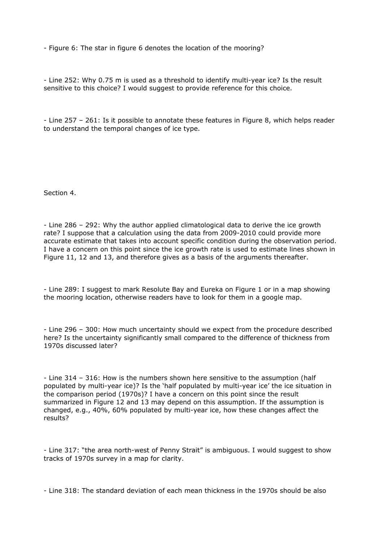- Figure 6: The star in figure 6 denotes the location of the mooring?

- Line 252: Why 0.75 m is used as a threshold to identify multi-year ice? Is the result sensitive to this choice? I would suggest to provide reference for this choice.

- Line 257 – 261: Is it possible to annotate these features in Figure 8, which helps reader to understand the temporal changes of ice type.

Section 4.

- Line 286 – 292: Why the author applied climatological data to derive the ice growth rate? I suppose that a calculation using the data from 2009-2010 could provide more accurate estimate that takes into account specific condition during the observation period. I have a concern on this point since the ice growth rate is used to estimate lines shown in Figure 11, 12 and 13, and therefore gives as a basis of the arguments thereafter.

- Line 289: I suggest to mark Resolute Bay and Eureka on Figure 1 or in a map showing the mooring location, otherwise readers have to look for them in a google map.

- Line 296 – 300: How much uncertainty should we expect from the procedure described here? Is the uncertainty significantly small compared to the difference of thickness from 1970s discussed later?

- Line 314 – 316: How is the numbers shown here sensitive to the assumption (half populated by multi-year ice)? Is the 'half populated by multi-year ice' the ice situation in the comparison period (1970s)? I have a concern on this point since the result summarized in Figure 12 and 13 may depend on this assumption. If the assumption is changed, e.g., 40%, 60% populated by multi-year ice, how these changes affect the results?

- Line 317: "the area north-west of Penny Strait" is ambiguous. I would suggest to show tracks of 1970s survey in a map for clarity.

- Line 318: The standard deviation of each mean thickness in the 1970s should be also